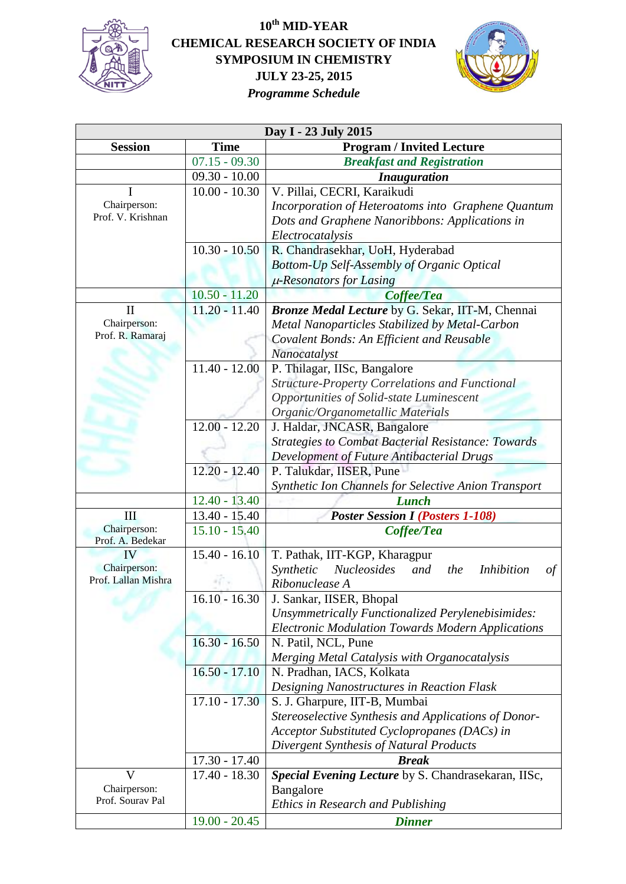

## **10th MID-YEAR CHEMICAL RESEARCH SOCIETY OF INDIA SYMPOSIUM IN CHEMISTRY JULY 23-25, 2015** *Programme Schedule*



| Day I - 23 July 2015             |                 |                                                                          |  |
|----------------------------------|-----------------|--------------------------------------------------------------------------|--|
| <b>Session</b>                   | <b>Time</b>     | <b>Program / Invited Lecture</b>                                         |  |
|                                  | $07.15 - 09.30$ | <b>Breakfast and Registration</b>                                        |  |
|                                  | $09.30 - 10.00$ | <b>Inauguration</b>                                                      |  |
| I                                | $10.00 - 10.30$ | V. Pillai, CECRI, Karaikudi                                              |  |
| Chairperson:                     |                 | Incorporation of Heteroatoms into Graphene Quantum                       |  |
| Prof. V. Krishnan                |                 | Dots and Graphene Nanoribbons: Applications in                           |  |
|                                  |                 | Electrocatalysis                                                         |  |
|                                  | $10.30 - 10.50$ | R. Chandrasekhar, UoH, Hyderabad                                         |  |
|                                  |                 | Bottom-Up Self-Assembly of Organic Optical                               |  |
|                                  |                 | $\mu$ -Resonators for Lasing                                             |  |
|                                  | $10.50 - 11.20$ | Coffee/Tea                                                               |  |
| $\mathbf{I}$                     | $11.20 - 11.40$ | Bronze Medal Lecture by G. Sekar, IIT-M, Chennai                         |  |
| Chairperson:                     |                 | Metal Nanoparticles Stabilized by Metal-Carbon                           |  |
| Prof. R. Ramaraj                 |                 | Covalent Bonds: An Efficient and Reusable                                |  |
|                                  |                 | Nanocatalyst                                                             |  |
|                                  | $11.40 - 12.00$ | P. Thilagar, IISc, Bangalore                                             |  |
|                                  |                 | <b>Structure-Property Correlations and Functional</b>                    |  |
|                                  |                 | Opportunities of Solid-state Luminescent                                 |  |
|                                  |                 | Organic/Organometallic Materials                                         |  |
|                                  | $12.00 - 12.20$ | J. Haldar, JNCASR, Bangalore                                             |  |
|                                  |                 | <b>Strategies to Combat Bacterial Resistance: Towards</b>                |  |
|                                  |                 | <b>Development of Future Antibacterial Drugs</b>                         |  |
|                                  | $12.20 - 12.40$ | P. Talukdar, IISER, Pune                                                 |  |
|                                  |                 | Synthetic Ion Channels for Selective Anion Transport                     |  |
|                                  | $12.40 - 13.40$ | <b>Lunch</b>                                                             |  |
| Ш                                | $13.40 - 15.40$ | <b>Poster Session I (Posters 1-108)</b>                                  |  |
| Chairperson:<br>Prof. A. Bedekar | $15.10 - 15.40$ | Coffee/Tea                                                               |  |
| IV                               | $15.40 - 16.10$ | T. Pathak, IIT-KGP, Kharagpur                                            |  |
| Chairperson:                     |                 | <b>Nucleosides</b><br>Synthetic<br>the<br>and<br><i>Inhibition</i><br>οf |  |
| Prof. Lallan Mishra              |                 | Ribonuclease A                                                           |  |
|                                  | $16.10 - 16.30$ | J. Sankar, IISER, Bhopal                                                 |  |
|                                  |                 | Unsymmetrically Functionalized Perylenebisimides:                        |  |
|                                  |                 | <b>Electronic Modulation Towards Modern Applications</b>                 |  |
|                                  | $16.30 - 16.50$ | N. Patil, NCL, Pune                                                      |  |
|                                  |                 | Merging Metal Catalysis with Organocatalysis                             |  |
|                                  | $16.50 - 17.10$ | N. Pradhan, IACS, Kolkata                                                |  |
|                                  |                 | Designing Nanostructures in Reaction Flask                               |  |
|                                  | $17.10 - 17.30$ | S. J. Gharpure, IIT-B, Mumbai                                            |  |
|                                  |                 | Stereoselective Synthesis and Applications of Donor-                     |  |
|                                  |                 | Acceptor Substituted Cyclopropanes (DACs) in                             |  |
|                                  |                 | Divergent Synthesis of Natural Products                                  |  |
|                                  | $17.30 - 17.40$ | <b>Break</b>                                                             |  |
| $\mathbf{V}$                     | $17.40 - 18.30$ | Special Evening Lecture by S. Chandrasekaran, IISc,                      |  |
| Chairperson:                     |                 | Bangalore                                                                |  |
| Prof. Sourav Pal                 |                 | Ethics in Research and Publishing                                        |  |
|                                  | $19.00 - 20.45$ | <b>Dinner</b>                                                            |  |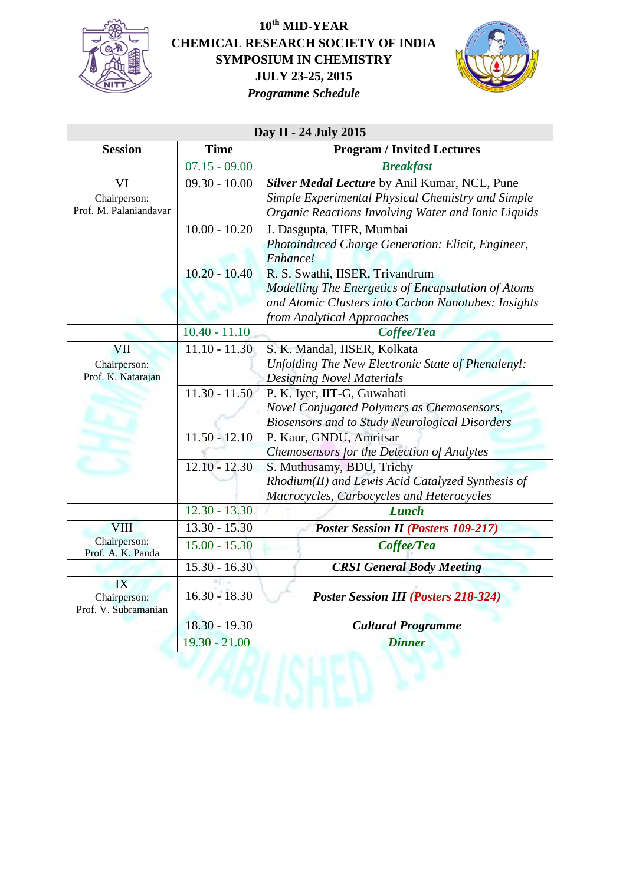

## **10th MID-YEAR CHEMICAL RESEARCH SOCIETY OF INDIA SYMPOSIUM IN CHEMISTRY JULY 23-25, 2015** *Programme Schedule*



| Day II - 24 July 2015             |                 |                                                       |  |
|-----------------------------------|-----------------|-------------------------------------------------------|--|
| <b>Session</b>                    | <b>Time</b>     | <b>Program / Invited Lectures</b>                     |  |
|                                   | $07.15 - 09.00$ | <b>Breakfast</b>                                      |  |
| VI                                | $09.30 - 10.00$ | Silver Medal Lecture by Anil Kumar, NCL, Pune         |  |
| Chairperson:                      |                 | Simple Experimental Physical Chemistry and Simple     |  |
| Prof. M. Palaniandavar            |                 | Organic Reactions Involving Water and Ionic Liquids   |  |
|                                   | $10.00 - 10.20$ | J. Dasgupta, TIFR, Mumbai                             |  |
|                                   |                 | Photoinduced Charge Generation: Elicit, Engineer,     |  |
|                                   |                 | Enhance!                                              |  |
|                                   | $10.20 - 10.40$ | R. S. Swathi, IISER, Trivandrum                       |  |
|                                   |                 | Modelling The Energetics of Encapsulation of Atoms    |  |
|                                   |                 | and Atomic Clusters into Carbon Nanotubes: Insights   |  |
|                                   |                 | from Analytical Approaches                            |  |
|                                   | $10.40 - 11.10$ | Coffee/Tea                                            |  |
| VII                               | $11.10 - 11.30$ | S. K. Mandal, IISER, Kolkata                          |  |
| Chairperson:                      |                 | Unfolding The New Electronic State of Phenalenyl:     |  |
| Prof. K. Natarajan                |                 | <b>Designing Novel Materials</b>                      |  |
|                                   | $11.30 - 11.50$ | P. K. Iyer, IIT-G, Guwahati                           |  |
|                                   |                 | Novel Conjugated Polymers as Chemosensors,            |  |
|                                   |                 | <b>Biosensors and to Study Neurological Disorders</b> |  |
|                                   | $11.50 - 12.10$ | P. Kaur, GNDU, Amritsar                               |  |
|                                   |                 | Chemosensors for the Detection of Analytes            |  |
|                                   | $12.10 - 12.30$ | S. Muthusamy, BDU, Trichy                             |  |
|                                   |                 | Rhodium(II) and Lewis Acid Catalyzed Synthesis of     |  |
|                                   |                 | Macrocycles, Carbocycles and Heterocycles             |  |
|                                   | $12.30 - 13.30$ | <b>Lunch</b>                                          |  |
| <b>VIII</b>                       | $13.30 - 15.30$ | <b>Poster Session II (Posters 109-217)</b>            |  |
| Chairperson:<br>Prof. A. K. Panda | $15.00 - 15.30$ | Coffee/Tea                                            |  |
|                                   | $15.30 - 16.30$ | <b>CRSI</b> General Body Meeting                      |  |
| IX                                |                 |                                                       |  |
| Chairperson:                      | $16.30 - 18.30$ | <b>Poster Session III (Posters 218-324)</b>           |  |
| Prof. V. Subramanian              |                 |                                                       |  |
|                                   | $18.30 - 19.30$ | <b>Cultural Programme</b>                             |  |
|                                   | $19.30 - 21.00$ | <b>Dinner</b>                                         |  |